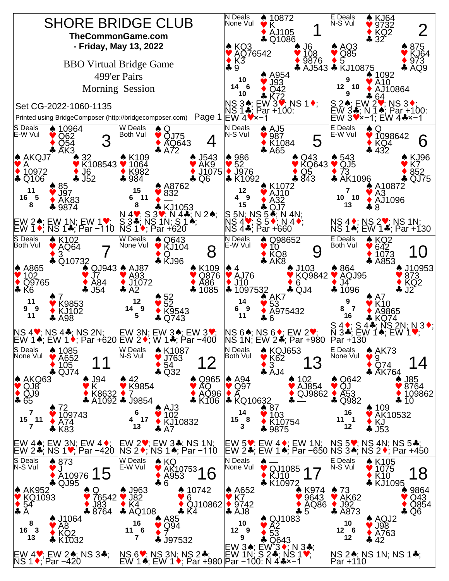